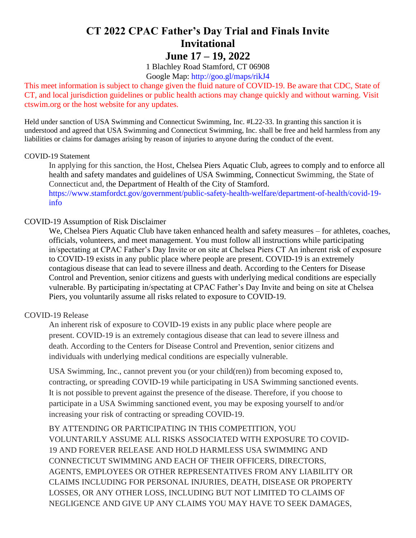# **CT 2022 CPAC Father's Day Trial and Finals Invite Invitational June 17 – 19, 2022**

1 Blachley Road Stamford, CT 06908 Google Map: http://goo.gl/maps/rikJ4

This meet information is subject to change given the fluid nature of COVID-19. Be aware that CDC, State of CT, and local jurisdiction guidelines or public health actions may change quickly and without warning. Visit ctswim.org or the host website for any updates.

Held under sanction of USA Swimming and Connecticut Swimming, Inc. #L22-33. In granting this sanction it is understood and agreed that USA Swimming and Connecticut Swimming, Inc. shall be free and held harmless from any liabilities or claims for damages arising by reason of injuries to anyone during the conduct of the event.

#### COVID-19 Statement

In applying for this sanction, the Host, Chelsea Piers Aquatic Club, agrees to comply and to enforce all health and safety mandates and guidelines of USA Swimming, Connecticut Swimming, the State of Connecticut and, the Department of Health of the City of Stamford.

https://www.stamfordct.gov/government/public-safety-health-welfare/department-of-health/covid-19 info

### COVID-19 Assumption of Risk Disclaimer

We, Chelsea Piers Aquatic Club have taken enhanced health and safety measures – for athletes, coaches, officials, volunteers, and meet management. You must follow all instructions while participating in/spectating at CPAC Father's Day Invite or on site at Chelsea Piers CT An inherent risk of exposure to COVID-19 exists in any public place where people are present. COVID-19 is an extremely contagious disease that can lead to severe illness and death. According to the Centers for Disease Control and Prevention, senior citizens and guests with underlying medical conditions are especially vulnerable. By participating in/spectating at CPAC Father's Day Invite and being on site at Chelsea Piers, you voluntarily assume all risks related to exposure to COVID-19.

#### COVID-19 Release

An inherent risk of exposure to COVID-19 exists in any public place where people are present. COVID-19 is an extremely contagious disease that can lead to severe illness and death. According to the Centers for Disease Control and Prevention, senior citizens and individuals with underlying medical conditions are especially vulnerable.

USA Swimming, Inc., cannot prevent you (or your child(ren)) from becoming exposed to, contracting, or spreading COVID-19 while participating in USA Swimming sanctioned events. It is not possible to prevent against the presence of the disease. Therefore, if you choose to participate in a USA Swimming sanctioned event, you may be exposing yourself to and/or increasing your risk of contracting or spreading COVID-19.

BY ATTENDING OR PARTICIPATING IN THIS COMPETITION, YOU VOLUNTARILY ASSUME ALL RISKS ASSOCIATED WITH EXPOSURE TO COVID-19 AND FOREVER RELEASE AND HOLD HARMLESS USA SWIMMING AND CONNECTICUT SWIMMING AND EACH OF THEIR OFFICERS, DIRECTORS, AGENTS, EMPLOYEES OR OTHER REPRESENTATIVES FROM ANY LIABILITY OR CLAIMS INCLUDING FOR PERSONAL INJURIES, DEATH, DISEASE OR PROPERTY LOSSES, OR ANY OTHER LOSS, INCLUDING BUT NOT LIMITED TO CLAIMS OF NEGLIGENCE AND GIVE UP ANY CLAIMS YOU MAY HAVE TO SEEK DAMAGES,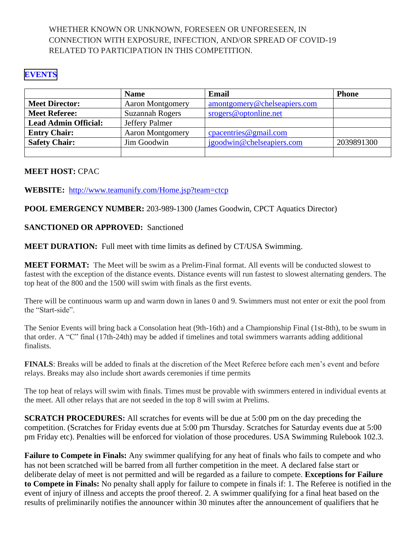### WHETHER KNOWN OR UNKNOWN, FORESEEN OR UNFORESEEN, IN CONNECTION WITH EXPOSURE, INFECTION, AND/OR SPREAD OF COVID-19 RELATED TO PARTICIPATION IN THIS COMPETITION.

### **[EVENTS](#page-7-0)**

|                             | <b>Name</b>             | Email                        | <b>Phone</b> |
|-----------------------------|-------------------------|------------------------------|--------------|
| <b>Meet Director:</b>       | <b>Aaron Montgomery</b> | amontgomery@chelseapiers.com |              |
| <b>Meet Referee:</b>        | <b>Suzannah Rogers</b>  | srogers@optonline.net        |              |
| <b>Lead Admin Official:</b> | Jeffery Palmer          |                              |              |
| <b>Entry Chair:</b>         | <b>Aaron Montgomery</b> | $c$ pacentries @ gmail.com   |              |
| <b>Safety Chair:</b>        | Jim Goodwin             | jgoodwin@chelseapiers.com    | 2039891300   |
|                             |                         |                              |              |

### **MEET HOST:** CPAC

**WEBSITE:** <http://www.teamunify.com/Home.jsp?team=ctcp>

**POOL EMERGENCY NUMBER:** 203-989-1300 (James Goodwin, CPCT Aquatics Director)

### **SANCTIONED OR APPROVED:** Sanctioned

**MEET DURATION:** Full meet with time limits as defined by CT/USA Swimming.

**MEET FORMAT:** The Meet will be swim as a Prelim-Final format. All events will be conducted slowest to fastest with the exception of the distance events. Distance events will run fastest to slowest alternating genders. The top heat of the 800 and the 1500 will swim with finals as the first events.

There will be continuous warm up and warm down in lanes 0 and 9. Swimmers must not enter or exit the pool from the "Start-side".

The Senior Events will bring back a Consolation heat (9th-16th) and a Championship Final (1st-8th), to be swum in that order. A "C" final (17th-24th) may be added if timelines and total swimmers warrants adding additional finalists.

**FINALS**: Breaks will be added to finals at the discretion of the Meet Referee before each men's event and before relays. Breaks may also include short awards ceremonies if time permits

The top heat of relays will swim with finals. Times must be provable with swimmers entered in individual events at the meet. All other relays that are not seeded in the top 8 will swim at Prelims.

**SCRATCH PROCEDURES:** All scratches for events will be due at 5:00 pm on the day preceding the competition. (Scratches for Friday events due at 5:00 pm Thursday. Scratches for Saturday events due at 5:00 pm Friday etc). Penalties will be enforced for violation of those procedures. USA Swimming Rulebook 102.3.

**Failure to Compete in Finals:** Any swimmer qualifying for any heat of finals who fails to compete and who has not been scratched will be barred from all further competition in the meet. A declared false start or deliberate delay of meet is not permitted and will be regarded as a failure to compete. **Exceptions for Failure to Compete in Finals:** No penalty shall apply for failure to compete in finals if: 1. The Referee is notified in the event of injury of illness and accepts the proof thereof. 2. A swimmer qualifying for a final heat based on the results of preliminarily notifies the announcer within 30 minutes after the announcement of qualifiers that he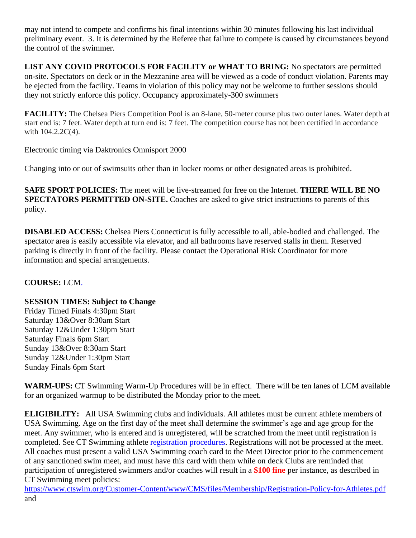may not intend to compete and confirms his final intentions within 30 minutes following his last individual preliminary event. 3. It is determined by the Referee that failure to compete is caused by circumstances beyond the control of the swimmer.

**LIST ANY COVID PROTOCOLS FOR FACILITY or WHAT TO BRING:** No spectators are permitted on-site. Spectators on deck or in the Mezzanine area will be viewed as a code of conduct violation. Parents may be ejected from the facility. Teams in violation of this policy may not be welcome to further sessions should they not strictly enforce this policy. Occupancy approximately-300 swimmers

**FACILITY:** The Chelsea Piers Competition Pool is an 8-lane, 50-meter course plus two outer lanes. Water depth at start end is: 7 feet. Water depth at turn end is: 7 feet. The competition course has not been certified in accordance with  $104.2.2C(4)$ .

Electronic timing via Daktronics Omnisport 2000

Changing into or out of swimsuits other than in locker rooms or other designated areas is prohibited.

**SAFE SPORT POLICIES:** The meet will be live-streamed for free on the Internet. **THERE WILL BE NO SPECTATORS PERMITTED ON-SITE.** Coaches are asked to give strict instructions to parents of this policy.

**DISABLED ACCESS:** Chelsea Piers Connecticut is fully accessible to all, able-bodied and challenged. The spectator area is easily accessible via elevator, and all bathrooms have reserved stalls in them. Reserved parking is directly in front of the facility. Please contact the Operational Risk Coordinator for more information and special arrangements.

### **COURSE:** LCM.

### **SESSION TIMES: Subject to Change**

Friday Timed Finals 4:30pm Start Saturday 13&Over 8:30am Start Saturday 12&Under 1:30pm Start Saturday Finals 6pm Start Sunday 13&Over 8:30am Start Sunday 12&Under 1:30pm Start Sunday Finals 6pm Start

**WARM-UPS:** CT Swimming Warm-Up Procedures will be in effect. There will be ten lanes of LCM available for an organized warmup to be distributed the Monday prior to the meet.

**ELIGIBILITY:** All USA Swimming clubs and individuals. All athletes must be current athlete members of USA Swimming. Age on the first day of the meet shall determine the swimmer's age and age group for the meet. Any swimmer, who is entered and is unregistered, will be scratched from the meet until registration is completed. See CT Swimming athlete registration procedures. Registrations will not be processed at the meet. All coaches must present a valid USA Swimming coach card to the Meet Director prior to the commencement of any sanctioned swim meet, and must have this card with them while on deck Clubs are reminded that participation of unregistered swimmers and/or coaches will result in a **\$100 fine** per instance, as described in CT Swimming meet policies:

<https://www.ctswim.org/Customer-Content/www/CMS/files/Membership/Registration-Policy-for-Athletes.pdf> and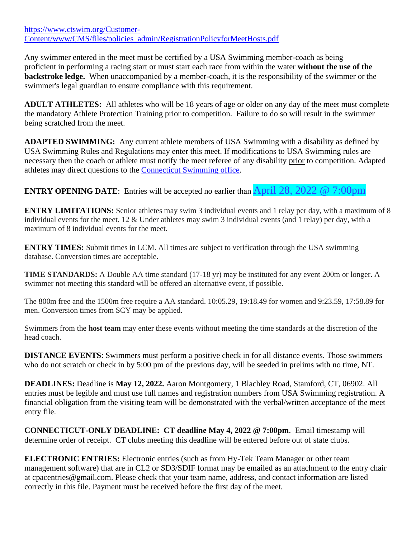[https://www.ctswim.org/Customer-](https://www.ctswim.org/Customer-Content/www/CMS/files/policies_admin/RegistrationPolicyforMeetHosts.pdf)[Content/www/CMS/files/policies\\_admin/RegistrationPolicyforMeetHosts.pdf](https://www.ctswim.org/Customer-Content/www/CMS/files/policies_admin/RegistrationPolicyforMeetHosts.pdf)

Any swimmer entered in the meet must be certified by a USA Swimming member-coach as being proficient in performing a racing start or must start each race from within the water **without the use of the backstroke ledge.** When unaccompanied by a member-coach, it is the responsibility of the swimmer or the swimmer's legal guardian to ensure compliance with this requirement.

**ADULT ATHLETES:** All athletes who will be 18 years of age or older on any day of the meet must complete the mandatory Athlete Protection Training prior to competition. Failure to do so will result in the swimmer being scratched from the meet.

**ADAPTED SWIMMING:** Any current athlete members of USA Swimming with a disability as defined by USA Swimming Rules and Regulations may enter this meet. If modifications to USA Swimming rules are necessary then the coach or athlete must notify the meet referee of any disability prior to competition. Adapted athletes may direct questions to the [Connecticut Swimming office.](mailto:office@ctswim.org)

**ENTRY OPENING DATE:** Entries will be accepted no earlier than **April 28**, 2022 @ 7:00pm

**ENTRY LIMITATIONS:** Senior athletes may swim 3 individual events and 1 relay per day, with a maximum of 8 individual events for the meet. 12 & Under athletes may swim 3 individual events (and 1 relay) per day, with a maximum of 8 individual events for the meet.

**ENTRY TIMES:** Submit times in LCM. All times are subject to verification through the USA swimming database. Conversion times are acceptable.

**TIME STANDARDS:** A Double AA time standard (17-18 yr) may be instituted for any event 200m or longer. A swimmer not meeting this standard will be offered an alternative event, if possible.

The 800m free and the 1500m free require a AA standard. 10:05.29, 19:18.49 for women and 9:23.59, 17:58.89 for men. Conversion times from SCY may be applied.

Swimmers from the **host team** may enter these events without meeting the time standards at the discretion of the head coach.

**DISTANCE EVENTS:** Swimmers must perform a positive check in for all distance events. Those swimmers who do not scratch or check in by 5:00 pm of the previous day, will be seeded in prelims with no time, NT.

**DEADLINES:** Deadline is **May 12, 2022.** Aaron Montgomery, 1 Blachley Road, Stamford, CT, 06902. All entries must be legible and must use full names and registration numbers from USA Swimming registration. A financial obligation from the visiting team will be demonstrated with the verbal/written acceptance of the meet entry file.

**CONNECTICUT-ONLY DEADLINE: CT deadline May 4, 2022 @ 7:00pm**. Email timestamp will determine order of receipt. CT clubs meeting this deadline will be entered before out of state clubs.

**ELECTRONIC ENTRIES:** Electronic entries (such as from Hy-Tek Team Manager or other team management software) that are in CL2 or SD3/SDIF format may be emailed as an attachment to the entry chair at cpacentries@gmail.com. Please check that your team name, address, and contact information are listed correctly in this file. Payment must be received before the first day of the meet.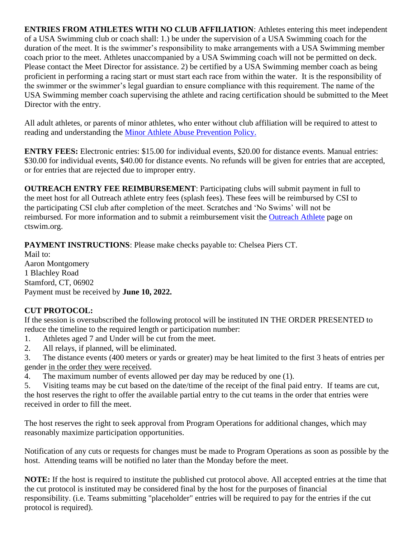**ENTRIES FROM ATHLETES WITH NO CLUB AFFILIATION**: Athletes entering this meet independent of a USA Swimming club or coach shall: 1.) be under the supervision of a USA Swimming coach for the duration of the meet. It is the swimmer's responsibility to make arrangements with a USA Swimming member coach prior to the meet. Athletes unaccompanied by a USA Swimming coach will not be permitted on deck. Please contact the Meet Director for assistance. 2) be certified by a USA Swimming member coach as being proficient in performing a racing start or must start each race from within the water. It is the responsibility of the swimmer or the swimmer's legal guardian to ensure compliance with this requirement. The name of the USA Swimming member coach supervising the athlete and racing certification should be submitted to the Meet Director with the entry.

All adult athletes, or parents of minor athletes, who enter without club affiliation will be required to attest to reading and understanding the [Minor Athlete Abuse Prevention Policy.](https://www.usaswimming.org/utility/landing-pages/minor-athlete-abuse-prevention-policy)

**ENTRY FEES:** Electronic entries: \$15.00 for individual events, \$20.00 for distance events. Manual entries: \$30.00 for individual events, \$40.00 for distance events. No refunds will be given for entries that are accepted, or for entries that are rejected due to improper entry.

**OUTREACH ENTRY FEE REIMBURSEMENT**: Participating clubs will submit payment in full to the meet host for all Outreach athlete entry fees (splash fees). These fees will be reimbursed by CSI to the participating CSI club after completion of the meet. Scratches and 'No Swims' will not be reimbursed. For more information and to submit a reimbursement visit the [Outreach Athlete](https://www.ctswim.org/Membership/Athlete-Outreach/) page on ctswim.org.

**PAYMENT INSTRUCTIONS**: Please make checks payable to: Chelsea Piers CT.

Mail to: Aaron Montgomery 1 Blachley Road Stamford, CT, 06902 Payment must be received by **June 10, 2022.**

# **CUT PROTOCOL:**

If the session is oversubscribed the following protocol will be instituted IN THE ORDER PRESENTED to reduce the timeline to the required length or participation number:

- 1. Athletes aged 7 and Under will be cut from the meet.
- 2. All relays, if planned, will be eliminated.
- 3. The distance events (400 meters or yards or greater) may be heat limited to the first 3 heats of entries per gender in the order they were received.
- 4. The maximum number of events allowed per day may be reduced by one (1).

5. Visiting teams may be cut based on the date/time of the receipt of the final paid entry. If teams are cut, the host reserves the right to offer the available partial entry to the cut teams in the order that entries were received in order to fill the meet.

The host reserves the right to seek approval from Program Operations for additional changes, which may reasonably maximize participation opportunities.

Notification of any cuts or requests for changes must be made to Program Operations as soon as possible by the host. Attending teams will be notified no later than the Monday before the meet.

**NOTE:** If the host is required to institute the published cut protocol above. All accepted entries at the time that the cut protocol is instituted may be considered final by the host for the purposes of financial responsibility. (i.e. Teams submitting "placeholder" entries will be required to pay for the entries if the cut protocol is required).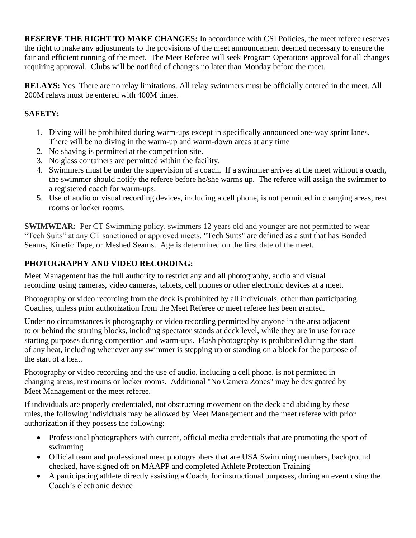**RESERVE THE RIGHT TO MAKE CHANGES:** In accordance with CSI Policies, the meet referee reserves the right to make any adjustments to the provisions of the meet announcement deemed necessary to ensure the fair and efficient running of the meet. The Meet Referee will seek Program Operations approval for all changes requiring approval. Clubs will be notified of changes no later than Monday before the meet.

**RELAYS:** Yes. There are no relay limitations. All relay swimmers must be officially entered in the meet. All 200M relays must be entered with 400M times.

# **SAFETY:**

- 1. Diving will be prohibited during warm-ups except in specifically announced one-way sprint lanes. There will be no diving in the warm-up and warm-down areas at any time
- 2. No shaving is permitted at the competition site.
- 3. No glass containers are permitted within the facility.
- 4. Swimmers must be under the supervision of a coach. If a swimmer arrives at the meet without a coach, the swimmer should notify the referee before he/she warms up. The referee will assign the swimmer to a registered coach for warm-ups.
- 5. Use of audio or visual recording devices, including a cell phone, is not permitted in changing areas, rest rooms or locker rooms.

**SWIMWEAR:** Per CT Swimming policy, swimmers 12 years old and younger are not permitted to wear "Tech Suits" at any CT sanctioned or approved meets. "Tech Suits" are defined as a suit that has Bonded Seams, Kinetic Tape, or Meshed Seams. Age is determined on the first date of the meet.

# **PHOTOGRAPHY AND VIDEO RECORDING:**

Meet Management has the full authority to restrict any and all photography, audio and visual recording using cameras, video cameras, tablets, cell phones or other electronic devices at a meet.

Photography or video recording from the deck is prohibited by all individuals, other than participating Coaches, unless prior authorization from the Meet Referee or meet referee has been granted.

Under no circumstances is photography or video recording permitted by anyone in the area adjacent to or behind the starting blocks, including spectator stands at deck level, while they are in use for race starting purposes during competition and warm-ups. Flash photography is prohibited during the start of any heat, including whenever any swimmer is stepping up or standing on a block for the purpose of the start of a heat.

Photography or video recording and the use of audio, including a cell phone, is not permitted in changing areas, rest rooms or locker rooms. Additional "No Camera Zones" may be designated by Meet Management or the meet referee.

If individuals are properly credentialed, not obstructing movement on the deck and abiding by these rules, the following individuals may be allowed by Meet Management and the meet referee with prior authorization if they possess the following:

- Professional photographers with current, official media credentials that are promoting the sport of swimming
- Official team and professional meet photographers that are USA Swimming members, background checked, have signed off on MAAPP and completed Athlete Protection Training
- A participating athlete directly assisting a Coach, for instructional purposes, during an event using the Coach's electronic device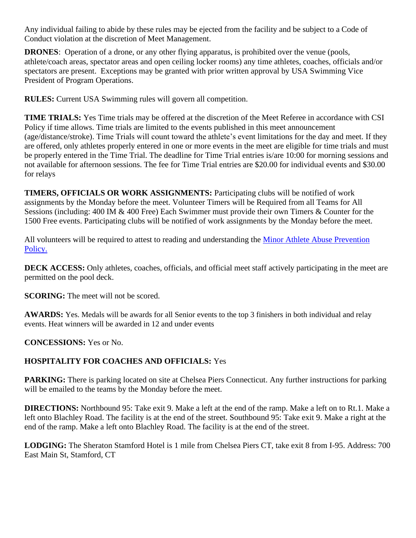Any individual failing to abide by these rules may be ejected from the facility and be subject to a Code of Conduct violation at the discretion of Meet Management.

**DRONES**: Operation of a drone, or any other flying apparatus, is prohibited over the venue (pools, athlete/coach areas, spectator areas and open ceiling locker rooms) any time athletes, coaches, officials and/or spectators are present. Exceptions may be granted with prior written approval by USA Swimming Vice President of Program Operations.

**RULES:** Current USA Swimming rules will govern all competition.

**TIME TRIALS:** Yes Time trials may be offered at the discretion of the Meet Referee in accordance with CSI Policy if time allows. Time trials are limited to the events published in this meet announcement (age/distance/stroke). Time Trials will count toward the athlete's event limitations for the day and meet. If they are offered, only athletes properly entered in one or more events in the meet are eligible for time trials and must be properly entered in the Time Trial. The deadline for Time Trial entries is/are 10:00 for morning sessions and not available for afternoon sessions. The fee for Time Trial entries are \$20.00 for individual events and \$30.00 for relays

**TIMERS, OFFICIALS OR WORK ASSIGNMENTS:** Participating clubs will be notified of work assignments by the Monday before the meet. Volunteer Timers will be Required from all Teams for All Sessions (including: 400 IM & 400 Free) Each Swimmer must provide their own Timers & Counter for the 1500 Free events. Participating clubs will be notified of work assignments by the Monday before the meet.

All volunteers will be required to attest to reading and understanding the [Minor Athlete Abuse Prevention](https://www.usaswimming.org/utility/landing-pages/minor-athlete-abuse-prevention-policy)  [Policy.](https://www.usaswimming.org/utility/landing-pages/minor-athlete-abuse-prevention-policy)

**DECK ACCESS:** Only athletes, coaches, officials, and official meet staff actively participating in the meet are permitted on the pool deck.

**SCORING:** The meet will not be scored.

**AWARDS:** Yes. Medals will be awards for all Senior events to the top 3 finishers in both individual and relay events. Heat winners will be awarded in 12 and under events

**CONCESSIONS:** Yes or No.

### **HOSPITALITY FOR COACHES AND OFFICIALS:** Yes

**PARKING:** There is parking located on site at Chelsea Piers Connecticut. Any further instructions for parking will be emailed to the teams by the Monday before the meet.

**DIRECTIONS:** Northbound 95: Take exit 9. Make a left at the end of the ramp. Make a left on to Rt.1. Make a left onto Blachley Road. The facility is at the end of the street. Southbound 95: Take exit 9. Make a right at the end of the ramp. Make a left onto Blachley Road. The facility is at the end of the street.

**LODGING:** The Sheraton Stamford Hotel is 1 mile from Chelsea Piers CT, take exit 8 from I-95. Address: 700 East Main St, Stamford, CT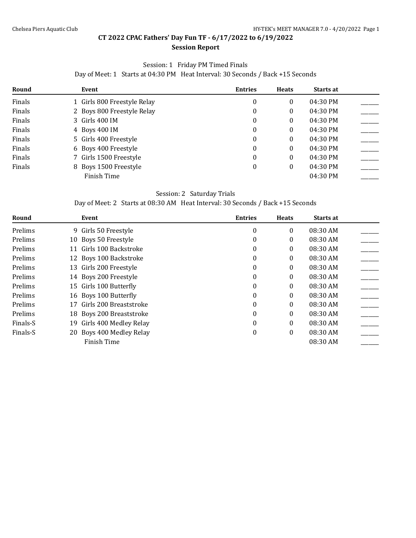#### **Session Report**

#### Session: 1 Friday PM Timed Finals

Day of Meet: 1 Starts at 04:30 PM Heat Interval: 30 Seconds / Back +15 Seconds

<span id="page-7-0"></span>

| Round  | Event                       | <b>Entries</b> | <b>Heats</b> | Starts at |  |
|--------|-----------------------------|----------------|--------------|-----------|--|
| Finals | 1 Girls 800 Freestyle Relay | 0              | 0            | 04:30 PM  |  |
| Finals | 2 Boys 800 Freestyle Relay  | 0              | 0            | 04:30 PM  |  |
| Finals | 3 Girls 400 IM              | 0              | 0            | 04:30 PM  |  |
| Finals | 4 Boys 400 IM               | 0              | 0            | 04:30 PM  |  |
| Finals | 5 Girls 400 Freestyle       | 0              | 0            | 04:30 PM  |  |
| Finals | 6 Boys 400 Freestyle        | 0              | 0            | 04:30 PM  |  |
| Finals | 7 Girls 1500 Freestyle      | 0              | 0            | 04:30 PM  |  |
| Finals | 8 Boys 1500 Freestyle       | 0              | 0            | 04:30 PM  |  |
|        | Finish Time                 |                |              | 04:30 PM  |  |

#### Session: 2 Saturday Trials

Day of Meet: 2 Starts at 08:30 AM Heat Interval: 30 Seconds / Back +15 Seconds

| Round    | Event                        | <b>Entries</b> | <b>Heats</b> | Starts at |  |
|----------|------------------------------|----------------|--------------|-----------|--|
| Prelims  | 9 Girls 50 Freestyle         | $\theta$       | $\Omega$     | 08:30 AM  |  |
| Prelims  | 10 Boys 50 Freestyle         | 0              | 0            | 08:30 AM  |  |
| Prelims  | Girls 100 Backstroke<br>11   | 0              | $\theta$     | 08:30 AM  |  |
| Prelims  | 12 Boys 100 Backstroke       | 0              | $\theta$     | 08:30 AM  |  |
| Prelims  | 13 Girls 200 Freestyle       | 0              | 0            | 08:30 AM  |  |
| Prelims  | 14 Boys 200 Freestyle        | 0              | $\theta$     | 08:30 AM  |  |
| Prelims  | 15 Girls 100 Butterfly       | 0              | 0            | 08:30 AM  |  |
| Prelims  | 16 Boys 100 Butterfly        | 0              | $\theta$     | 08:30 AM  |  |
| Prelims  | 17 Girls 200 Breaststroke    | 0              | $\theta$     | 08:30 AM  |  |
| Prelims  | 18 Boys 200 Breaststroke     | $\Omega$       | 0            | 08:30 AM  |  |
| Finals-S | Girls 400 Medley Relay<br>19 | $\theta$       | $\theta$     | 08:30 AM  |  |
| Finals-S | 20 Boys 400 Medley Relay     | 0              | 0            | 08:30 AM  |  |
|          | Finish Time                  |                |              | 08:30 AM  |  |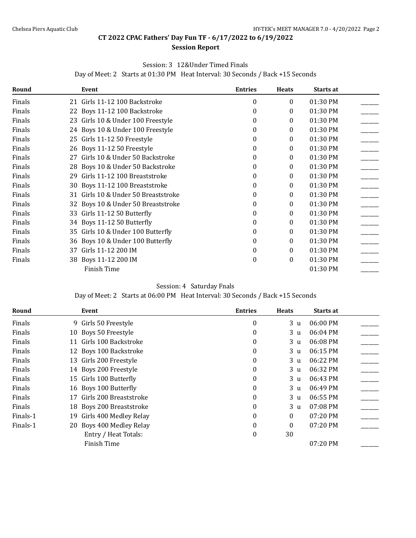#### **Session Report**

#### Session: 3 12&Under Timed Finals

Day of Meet: 2 Starts at 01:30 PM Heat Interval: 30 Seconds / Back +15 Seconds

| Round  |    | Event                               | <b>Entries</b>   | <b>Heats</b> | Starts at |  |
|--------|----|-------------------------------------|------------------|--------------|-----------|--|
| Finals |    | 21 Girls 11-12 100 Backstroke       | $\theta$         | 0            | 01:30 PM  |  |
| Finals |    | 22 Boys 11-12 100 Backstroke        | $\Omega$         | 0            | 01:30 PM  |  |
| Finals |    | 23 Girls 10 & Under 100 Freestyle   | $\Omega$         | 0            | 01:30 PM  |  |
| Finals |    | 24 Boys 10 & Under 100 Freestyle    | $\theta$         | 0            | 01:30 PM  |  |
| Finals |    | 25 Girls 11-12 50 Freestyle         | $\Omega$         | 0            | 01:30 PM  |  |
| Finals |    | 26 Boys 11-12 50 Freestyle          | $\Omega$         | 0            | 01:30 PM  |  |
| Finals |    | 27 Girls 10 & Under 50 Backstroke   | $\Omega$         | 0            | 01:30 PM  |  |
| Finals |    | 28 Boys 10 & Under 50 Backstroke    | $\Omega$         | 0            | 01:30 PM  |  |
| Finals | 29 | Girls 11-12 100 Breaststroke        | $\Omega$         | 0            | 01:30 PM  |  |
| Finals |    | 30 Boys 11-12 100 Breaststroke      | $\theta$         | 0            | 01:30 PM  |  |
| Finals |    | 31 Girls 10 & Under 50 Breaststroke | $\Omega$         | 0            | 01:30 PM  |  |
| Finals |    | 32 Boys 10 & Under 50 Breaststroke  | $\theta$         | 0            | 01:30 PM  |  |
| Finals |    | 33 Girls 11-12 50 Butterfly         | $\Omega$         | 0            | 01:30 PM  |  |
| Finals |    | 34 Boys 11-12 50 Butterfly          | $\Omega$         | 0            | 01:30 PM  |  |
| Finals |    | 35 Girls 10 & Under 100 Butterfly   | $\Omega$         | 0            | 01:30 PM  |  |
| Finals |    | 36 Boys 10 & Under 100 Butterfly    | $\theta$         | 0            | 01:30 PM  |  |
| Finals | 37 | Girls 11-12 200 IM                  | $\Omega$         | $\theta$     | 01:30 PM  |  |
| Finals |    | 38 Boys 11-12 200 IM                | $\boldsymbol{0}$ | 0            | 01:30 PM  |  |
|        |    | <b>Finish Time</b>                  |                  |              | 01:30 PM  |  |

#### Session: 4 Saturday Fnals

Day of Meet: 2 Starts at 06:00 PM Heat Interval: 30 Seconds / Back +15 Seconds

| Round    |    | Event                    | <b>Entries</b>   | <b>Heats</b>   | Starts at |  |
|----------|----|--------------------------|------------------|----------------|-----------|--|
| Finals   |    | 9 Girls 50 Freestyle     | $\boldsymbol{0}$ | 3 <sub>u</sub> | 06:00 PM  |  |
| Finals   | 10 | Boys 50 Freestyle        | 0                | 3 u            | 06:04 PM  |  |
| Finals   | 11 | Girls 100 Backstroke     | $\Omega$         | 3 <sub>u</sub> | 06:08 PM  |  |
| Finals   |    | 12 Boys 100 Backstroke   | 0                | 3 <sub>u</sub> | 06:15 PM  |  |
| Finals   |    | 13 Girls 200 Freestyle   | $\theta$         | 3 u            | 06:22 PM  |  |
| Finals   |    | 14 Boys 200 Freestyle    | $\theta$         | 3 u            | 06:32 PM  |  |
| Finals   |    | 15 Girls 100 Butterfly   | 0                | 3 u            | 06:43 PM  |  |
| Finals   |    | 16 Boys 100 Butterfly    | $\Omega$         | 3 <sub>u</sub> | 06:49 PM  |  |
| Finals   | 17 | Girls 200 Breaststroke   | $\boldsymbol{0}$ | 3 <sub>u</sub> | 06:55 PM  |  |
| Finals   |    | 18 Boys 200 Breaststroke | $\theta$         | 3 <sub>u</sub> | 07:08 PM  |  |
| Finals-1 | 19 | Girls 400 Medley Relay   | $\theta$         | 0              | 07:20 PM  |  |
| Finals-1 |    | 20 Boys 400 Medley Relay | $\boldsymbol{0}$ | 0              | 07:20 PM  |  |
|          |    | Entry / Heat Totals:     | $\boldsymbol{0}$ | 30             |           |  |
|          |    | Finish Time              |                  |                | 07:20 PM  |  |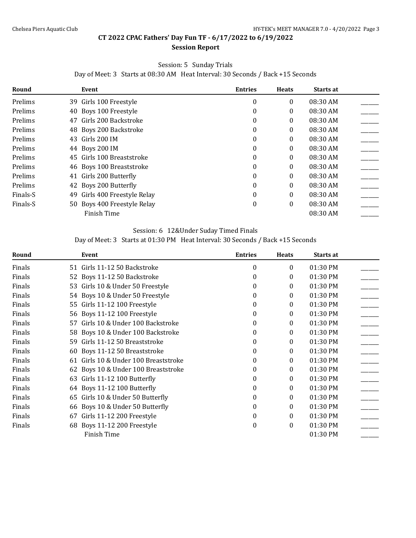#### **Session Report**

#### Session: 5 Sunday Trials

Day of Meet: 3 Starts at 08:30 AM Heat Interval: 30 Seconds / Back +15 Seconds

| Round    | Event                            | <b>Entries</b> | <b>Heats</b> | Starts at |  |
|----------|----------------------------------|----------------|--------------|-----------|--|
| Prelims  | 39 Girls 100 Freestyle           | $\theta$       | $\Omega$     | 08:30 AM  |  |
| Prelims  | 40 Boys 100 Freestyle            | 0              | 0            | 08:30 AM  |  |
| Prelims  | Girls 200 Backstroke<br>47       | 0              | $\theta$     | 08:30 AM  |  |
| Prelims  | 48 Boys 200 Backstroke           | 0              | 0            | 08:30 AM  |  |
| Prelims  | 43 Girls 200 IM                  | 0              | 0            | 08:30 AM  |  |
| Prelims  | 44 Boys 200 IM                   | 0              | 0            | 08:30 AM  |  |
| Prelims  | 45 Girls 100 Breaststroke        | 0              | 0            | 08:30 AM  |  |
| Prelims  | 46 Boys 100 Breaststroke         | 0              | 0            | 08:30 AM  |  |
| Prelims  | 41 Girls 200 Butterfly           | 0              | 0            | 08:30 AM  |  |
| Prelims  | 42 Boys 200 Butterfly            | 0              | 0            | 08:30 AM  |  |
| Finals-S | Girls 400 Freestyle Relay<br>49. | 0              | $\theta$     | 08:30 AM  |  |
| Finals-S | 50 Boys 400 Freestyle Relay      | 0              | 0            | 08:30 AM  |  |
|          | Finish Time                      |                |              | 08:30 AM  |  |

#### Session: 6 12&Under Suday Timed Finals

### Day of Meet: 3 Starts at 01:30 PM Heat Interval: 30 Seconds / Back +15 Seconds

| Round  | Event                                | <b>Entries</b>   | <b>Heats</b> | Starts at |  |
|--------|--------------------------------------|------------------|--------------|-----------|--|
| Finals | 51 Girls 11-12 50 Backstroke         | $\theta$         | 0            | 01:30 PM  |  |
| Finals | 52 Boys 11-12 50 Backstroke          | $\Omega$         | 0            | 01:30 PM  |  |
| Finals | 53 Girls 10 & Under 50 Freestyle     | $\Omega$         | 0            | 01:30 PM  |  |
| Finals | 54 Boys 10 & Under 50 Freestyle      | 0                | 0            | 01:30 PM  |  |
| Finals | 55 Girls 11-12 100 Freestyle         | $\Omega$         | 0            | 01:30 PM  |  |
| Finals | 56 Boys 11-12 100 Freestyle          | $\Omega$         | 0            | 01:30 PM  |  |
| Finals | 57 Girls 10 & Under 100 Backstroke   | $\theta$         | 0            | 01:30 PM  |  |
| Finals | 58 Boys 10 & Under 100 Backstroke    | $\Omega$         | 0            | 01:30 PM  |  |
| Finals | Girls 11-12 50 Breaststroke<br>59    | $\Omega$         | 0            | 01:30 PM  |  |
| Finals | 60 Boys 11-12 50 Breaststroke        | $\theta$         | 0            | 01:30 PM  |  |
| Finals | 61 Girls 10 & Under 100 Breaststroke | $\Omega$         | 0            | 01:30 PM  |  |
| Finals | 62 Boys 10 & Under 100 Breaststroke  | $\Omega$         | 0            | 01:30 PM  |  |
| Finals | 63 Girls 11-12 100 Butterfly         | $\Omega$         | 0            | 01:30 PM  |  |
| Finals | 64 Boys 11-12 100 Butterfly          | $\Omega$         | 0            | 01:30 PM  |  |
| Finals | Girls 10 & Under 50 Butterfly<br>65  | $\Omega$         | 0            | 01:30 PM  |  |
| Finals | 66 Boys 10 & Under 50 Butterfly      | 0                | 0            | 01:30 PM  |  |
| Finals | Girls 11-12 200 Freestyle<br>67      | $\theta$         | 0            | 01:30 PM  |  |
| Finals | 68 Boys 11-12 200 Freestyle          | $\boldsymbol{0}$ | 0            | 01:30 PM  |  |
|        | <b>Finish Time</b>                   |                  |              | 01:30 PM  |  |